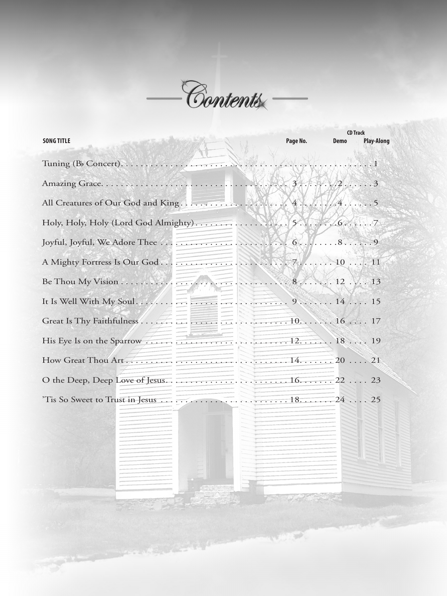

|                   |          | <b>CD Track</b> |                   |
|-------------------|----------|-----------------|-------------------|
| <b>SONG TITLE</b> | Page No. | <b>Demo</b>     | <b>Play-Along</b> |
|                   |          |                 |                   |
|                   |          |                 |                   |
|                   |          |                 |                   |
|                   |          |                 |                   |
|                   |          |                 |                   |
|                   |          |                 |                   |
|                   |          |                 |                   |
|                   |          |                 |                   |
|                   |          |                 |                   |
|                   |          |                 |                   |
|                   |          |                 |                   |
|                   |          |                 |                   |
|                   |          |                 |                   |
|                   |          |                 |                   |
|                   |          |                 |                   |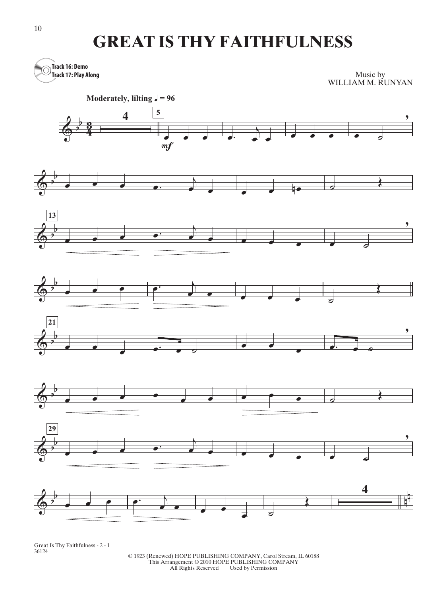## **GREAT IS THY FAITHFULNESS**



Great Is Thy Faithfulness - 2 - 1 36124

© 1923 (Renewed) HOPE PUBLISHING COMPANY, Carol Stream, IL 60188 This Arrangement © 2010 HOPE PUBLISHING COMPANY All Rights Reserved Used by Permission